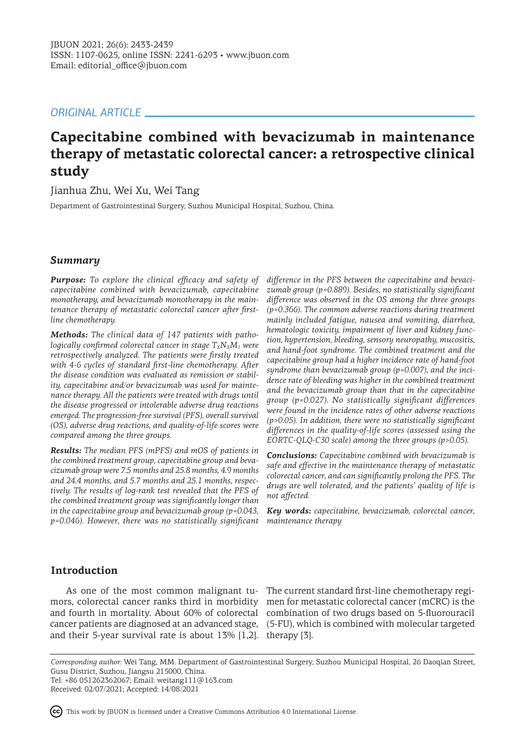# *ORIGINAL ARTICLE*

# **Capecitabine combined with bevacizumab in maintenance therapy of metastatic colorectal cancer: a retrospective clinical study**

Jianhua Zhu, Wei Xu, Wei Tang

Department of Gastrointestinal Surgery, Suzhou Municipal Hospital, Suzhou, China.

# *Summary*

*Purpose: To explore the clinical efficacy and safety of capecitabine combined with bevacizumab, capecitabine monotherapy, and bevacizumab monotherapy in the maintenance therapy of metastatic colorectal cancer after firstline chemotherapy.*

*Methods: The clinical data of 147 patients with pathologically confirmed colorectal cancer in stage*  $T_XN_XM_1$  were *retrospectively analyzed. The patients were firstly treated with 4-6 cycles of standard first-line chemotherapy. After the disease condition was evaluated as remission or stability, capecitabine and/or bevacizumab was used for maintenance therapy. All the patients were treated with drugs until the disease progressed or intolerable adverse drug reactions emerged. The progression-free survival (PFS), overall survival (OS), adverse drug reactions, and quality-of-life scores were compared among the three groups.* 

*Results: The median PFS (mPFS) and mOS of patients in the combined treatment group, capecitabine group and bevacizumab group were 7.5 months and 25.8 months, 4.9 months and 24.4 months, and 5.7 months and 25.1 months, respectively. The results of log-rank test revealed that the PFS of the combined treatment group was significantly longer than in the capecitabine group and bevacizumab group (p=0.043, p=0.046). However, there was no statistically significant* 

*difference in the PFS between the capecitabine and bevacizumab group (p=0.889). Besides, no statistically significant difference was observed in the OS among the three groups (p=0.366). The common adverse reactions during treatment mainly included fatigue, nausea and vomiting, diarrhea, hematologic toxicity, impairment of liver and kidney function, hypertension, bleeding, sensory neuropathy, mucositis, and hand-foot syndrome. The combined treatment and the capecitabine group had a higher incidence rate of hand-foot syndrome than bevacizumab group (p=0.007), and the incidence rate of bleeding was higher in the combined treatment and the bevacizumab group than that in the capecitabine group (p=0.027). No statistically significant differences were found in the incidence rates of other adverse reactions (p>0.05). In addition, there were no statistically significant differences in the quality-of-life scores (assessed using the EORTC-QLQ-C30 scale) among the three groups (p>0.05).*

*Conclusions: Capecitabine combined with bevacizumab is safe and effective in the maintenance therapy of metastatic colorectal cancer, and can significantly prolong the PFS. The drugs are well tolerated, and the patients' quality of life is not affected.*

*Key words: capecitabine, bevacizumab, colorectal cancer, maintenance therapy*

# **Introduction**

and their 5-year survival rate is about 13% [1,2]. therapy [3].

As one of the most common malignant tu- The current standard first-line chemotherapy regimors, colorectal cancer ranks third in morbidity men for metastatic colorectal cancer (mCRC) is the and fourth in mortality. About 60% of colorectal combination of two drugs based on 5-fluorouracil cancer patients are diagnosed at an advanced stage, (5-FU), which is combined with molecular targeted

*Corresponding author:* Wei Tang, MM. Department of Gastrointestinal Surgery, Suzhou Municipal Hospital, 26 Daoqian Street, Gusu District, Suzhou, Jiangsu 215000, China. Tel: +86 051262362067; Email: weitang111@163.com

Received: 02/07/2021; Accepted: 14/08/2021

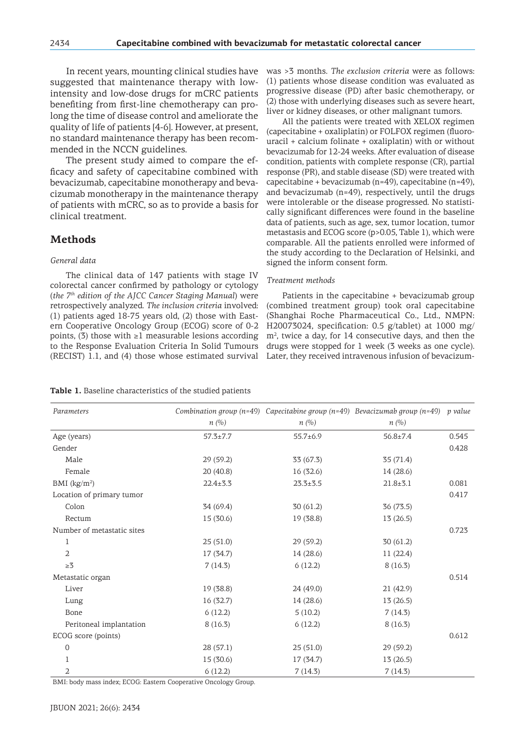In recent years, mounting clinical studies have suggested that maintenance therapy with lowintensity and low-dose drugs for mCRC patients benefiting from first-line chemotherapy can prolong the time of disease control and ameliorate the quality of life of patients [4-6]. However, at present, no standard maintenance therapy has been recommended in the NCCN guidelines.

The present study aimed to compare the efficacy and safety of capecitabine combined with bevacizumab, capecitabine monotherapy and bevacizumab monotherapy in the maintenance therapy of patients with mCRC, so as to provide a basis for clinical treatment.

## **Methods**

#### *General data*

The clinical data of 147 patients with stage IV colorectal cancer confirmed by pathology or cytology (*the 7th edition of the AJCC Cancer Staging Manual*) were retrospectively analyzed. *The inclusion criteria* involved: (1) patients aged 18-75 years old, (2) those with Eastern Cooperative Oncology Group (ECOG) score of 0-2 points, (3) those with  $\geq 1$  measurable lesions according to the Response Evaluation Criteria In Solid Tumours (RECIST) 1.1, and (4) those whose estimated survival

was >3 months. *The exclusion criteria* were as follows: (1) patients whose disease condition was evaluated as progressive disease (PD) after basic chemotherapy, or (2) those with underlying diseases such as severe heart, liver or kidney diseases, or other malignant tumors.

All the patients were treated with XELOX regimen (capecitabine + oxaliplatin) or FOLFOX regimen (fluorouracil + calcium folinate + oxaliplatin) with or without bevacizumab for 12-24 weeks. After evaluation of disease condition, patients with complete response (CR), partial response (PR), and stable disease (SD) were treated with capecitabine + bevacizumab (n=49), capecitabine (n=49), and bevacizumab (n=49), respectively, until the drugs were intolerable or the disease progressed. No statistically significant differences were found in the baseline data of patients, such as age, sex, tumor location, tumor metastasis and ECOG score (p>0.05, Table 1), which were comparable. All the patients enrolled were informed of the study according to the Declaration of Helsinki, and signed the inform consent form.

#### *Treatment methods*

Patients in the capecitabine + bevacizumab group (combined treatment group) took oral capecitabine (Shanghai Roche Pharmaceutical Co., Ltd., NMPN: H20073024, specification: 0.5 g/tablet) at 1000 mg/ m<sup>2</sup> , twice a day, for 14 consecutive days, and then the drugs were stopped for 1 week (3 weeks as one cycle). Later, they received intravenous infusion of bevacizum-

| <b>Table 1.</b> Baseline characteristics of the studied patients |  |
|------------------------------------------------------------------|--|
|------------------------------------------------------------------|--|

| $n(\%)$        | n(%)           | $n(\%)$        |                                                                                     |
|----------------|----------------|----------------|-------------------------------------------------------------------------------------|
| $57.3 \pm 7.7$ | $55.7 \pm 6.9$ | $56.8 \pm 7.4$ | 0.545                                                                               |
|                |                |                | 0.428                                                                               |
| 29(59.2)       | 33 (67.3)      | 35(71.4)       |                                                                                     |
| 20 (40.8)      | 16 (32.6)      | 14 (28.6)      |                                                                                     |
| $22.4 \pm 3.3$ | $23.3 \pm 3.5$ | $21.8 \pm 3.1$ | 0.081                                                                               |
|                |                |                | 0.417                                                                               |
| 34 (69.4)      | 30(61.2)       | 36 (73.5)      |                                                                                     |
| 15 (30.6)      | 19 (38.8)      | 13(26.5)       |                                                                                     |
|                |                |                | 0.723                                                                               |
| 25(51.0)       | 29(59.2)       | 30(61.2)       |                                                                                     |
| 17 (34.7)      | 14 (28.6)      | 11(22.4)       |                                                                                     |
| 7(14.3)        | 6(12.2)        | 8(16.3)        |                                                                                     |
|                |                |                | 0.514                                                                               |
| 19 (38.8)      | 24 (49.0)      | 21(42.9)       |                                                                                     |
| 16 (32.7)      | 14 (28.6)      | 13(26.5)       |                                                                                     |
| 6(12.2)        | 5(10.2)        | 7(14.3)        |                                                                                     |
| 8(16.3)        | 6(12.2)        | 8(16.3)        |                                                                                     |
|                |                |                | 0.612                                                                               |
| 28(57.1)       | 25(51.0)       | 29(59.2)       |                                                                                     |
| 15 (30.6)      | 17 (34.7)      | 13(26.5)       |                                                                                     |
| 6(12.2)        | 7(14.3)        | 7(14.3)        |                                                                                     |
|                | $\sim$         |                | Combination group (n=49) Capecitabine group (n=49) Bevacizumab group (n=49) p value |

BMI: body mass index; ECOG: Eastern Cooperative Oncology Group.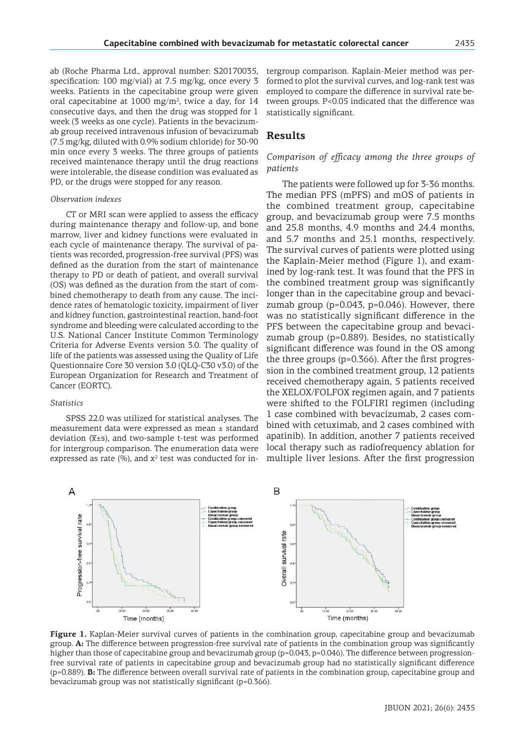ab (Roche Pharma Ltd., approval number: S20170035, specification: 100 mg/vial) at 7.5 mg/kg, once every 3 weeks. Patients in the capecitabine group were given oral capecitabine at  $1000$  mg/m<sup>2</sup>, twice a day, for  $14$ consecutive days, and then the drug was stopped for 1 week (3 weeks as one cycle). Patients in the bevacizumab group received intravenous infusion of bevacizumab (7.5 mg/kg, diluted with 0.9% sodium chloride) for 30-90 min once every 3 weeks. The three groups of patients received maintenance therapy until the drug reactions were intolerable, the disease condition was evaluated as PD, or the drugs were stopped for any reason.

#### *Observation indexes*

CT or MRI scan were applied to assess the efficacy during maintenance therapy and follow-up, and bone marrow, liver and kidney functions were evaluated in each cycle of maintenance therapy. The survival of patients was recorded, progression-free survival (PFS) was defined as the duration from the start of maintenance therapy to PD or death of patient, and overall survival (OS) was defined as the duration from the start of combined chemotherapy to death from any cause. The incidence rates of hematologic toxicity, impairment of liver and kidney function, gastrointestinal reaction, hand-foot syndrome and bleeding were calculated according to the U.S. National Cancer Institute Common Terminology Criteria for Adverse Events version 3.0. The quality of life of the patients was assessed using the Quality of Life Questionnaire Core 30 version 3.0 (QLQ-C30 v3.0) of the European Organization for Research and Treatment of Cancer (EORTC).

#### *Statistics*

SPSS 22.0 was utilized for statistical analyses. The measurement data were expressed as mean ± standard deviation  $(\overline{x} \pm s)$ , and two-sample t-test was performed for intergroup comparison. The enumeration data were expressed as rate  $(\%)$ , and  $x^2$  test was conducted for intergroup comparison. Kaplain-Meier method was performed to plot the survival curves, and log-rank test was employed to compare the difference in survival rate between groups. P<0.05 indicated that the difference was statistically significant.

## **Results**

## *Comparison of efficacy among the three groups of patients*

The patients were followed up for 3-36 months. The median PFS (mPFS) and mOS of patients in the combined treatment group, capecitabine group, and bevacizumab group were 7.5 months and 25.8 months, 4.9 months and 24.4 months, and 5.7 months and 25.1 months, respectively. The survival curves of patients were plotted using the Kaplain-Meier method (Figure 1), and examined by log-rank test. It was found that the PFS in the combined treatment group was significantly longer than in the capecitabine group and bevacizumab group (p=0.043, p=0.046). However, there was no statistically significant difference in the PFS between the capecitabine group and bevacizumab group (p=0.889). Besides, no statistically significant difference was found in the OS among the three groups (p=0.366). After the first progression in the combined treatment group, 12 patients received chemotherapy again, 5 patients received the XELOX/FOLFOX regimen again, and 7 patients were shifted to the FOLFIRI regimen (including 1 case combined with bevacizumab, 2 cases combined with cetuximab, and 2 cases combined with apatinib). In addition, another 7 patients received local therapy such as radiofrequency ablation for multiple liver lesions. After the first progression



**Figure 1.** Kaplan-Meier survival curves of patients in the combination group, capecitabine group and bevacizumab group. **A:** The difference between progression-free survival rate of patients in the combination group was significantly higher than those of capecitabine group and bevacizumab group (p=0.043, p=0.046). The difference between progressionfree survival rate of patients in capecitabine group and bevacizumab group had no statistically significant difference (p=0.889). **B:** The difference between overall survival rate of patients in the combination group, capecitabine group and bevacizumab group was not statistically significant (p=0.366).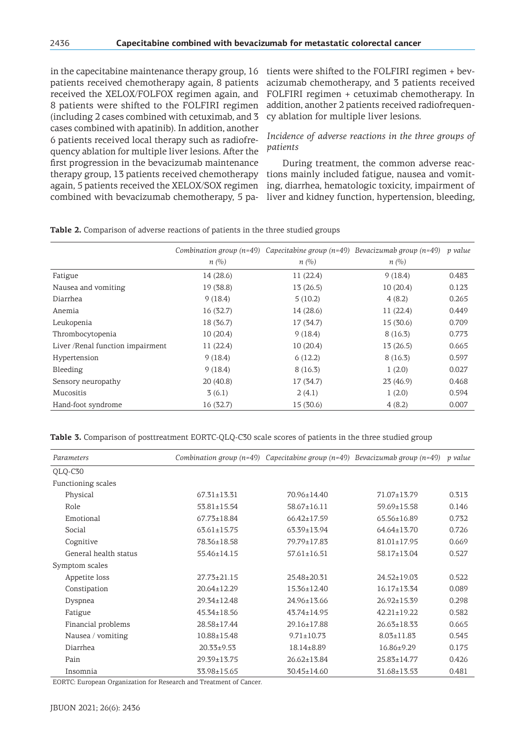in the capecitabine maintenance therapy group, 16 patients received chemotherapy again, 8 patients received the XELOX/FOLFOX regimen again, and 8 patients were shifted to the FOLFIRI regimen (including 2 cases combined with cetuximab, and 3 cases combined with apatinib). In addition, another 6 patients received local therapy such as radiofrequency ablation for multiple liver lesions. After the first progression in the bevacizumab maintenance therapy group, 13 patients received chemotherapy again, 5 patients received the XELOX/SOX regimen combined with bevacizumab chemotherapy, 5 pa-

tients were shifted to the FOLFIRI regimen + bevacizumab chemotherapy, and 3 patients received FOLFIRI regimen + cetuximab chemotherapy. In addition, another 2 patients received radiofrequency ablation for multiple liver lesions.

## *Incidence of adverse reactions in the three groups of patients*

During treatment, the common adverse reactions mainly included fatigue, nausea and vomiting, diarrhea, hematologic toxicity, impairment of liver and kidney function, hypertension, bleeding,

|                                   |           | Combination group (n=49) Capecitabine group (n=49) Bevacizumab group (n=49) |           | p value |
|-----------------------------------|-----------|-----------------------------------------------------------------------------|-----------|---------|
|                                   | n(%)      | n(%)                                                                        | n(%)      |         |
| Fatigue                           | 14 (28.6) | 11(22.4)                                                                    | 9(18.4)   | 0.483   |
| Nausea and vomiting               | 19 (38.8) | 13(26.5)                                                                    | 10(20.4)  | 0.123   |
| Diarrhea                          | 9(18.4)   | 5(10.2)                                                                     | 4(8.2)    | 0.265   |
| Anemia                            | 16(32.7)  | 14 (28.6)                                                                   | 11(22.4)  | 0.449   |
| Leukopenia                        | 18 (36.7) | 17 (34.7)                                                                   | 15 (30.6) | 0.709   |
| Thrombocytopenia                  | 10(20.4)  | 9(18.4)                                                                     | 8(16.3)   | 0.773   |
| Liver / Renal function impairment | 11(22.4)  | 10(20.4)                                                                    | 13(26.5)  | 0.665   |
| Hypertension                      | 9(18.4)   | 6(12.2)                                                                     | 8(16.3)   | 0.597   |
| Bleeding                          | 9(18.4)   | 8(16.3)                                                                     | 1(2.0)    | 0.027   |
| Sensory neuropathy                | 20(40.8)  | 17 (34.7)                                                                   | 23(46.9)  | 0.468   |
| Mucositis                         | 3(6.1)    | 2(4.1)                                                                      | 1(2.0)    | 0.594   |
| Hand-foot syndrome                | 16(32.7)  | 15 (30.6)                                                                   | 4(8.2)    | 0.007   |

**Table 2.** Comparison of adverse reactions of patients in the three studied groups

Table 3. Comparison of posttreatment EORTC-QLQ-C30 scale scores of patients in the three studied group

| Parameters            |                   |                   | Combination group ( $n=49$ ) Capecitabine group ( $n=49$ ) Bevacizumab group ( $n=49$ ) | p value |
|-----------------------|-------------------|-------------------|-----------------------------------------------------------------------------------------|---------|
| QLQ-C30               |                   |                   |                                                                                         |         |
| Functioning scales    |                   |                   |                                                                                         |         |
| Physical              | $67.31 + 13.31$   | 70.96±14.40       | $71.07 \pm 13.79$                                                                       | 0.313   |
| Role                  | $53.81 \pm 15.54$ | $58.67 \pm 16.11$ | $59.69 \pm 15.58$                                                                       | 0.146   |
| Emotional             | $67.73 \pm 18.84$ | $66.42 \pm 17.59$ | $65.56 \pm 16.89$                                                                       | 0.732   |
| Social                | $63.61 \pm 15.75$ | $63.39 \pm 13.94$ | $64.64 \pm 13.70$                                                                       | 0.726   |
| Cognitive             | 78.36±18.58       | 79.79±17.83       | $81.01 \pm 17.95$                                                                       | 0.669   |
| General health status | $55.46 \pm 14.15$ | $57.61 \pm 16.51$ | $58.17 \pm 13.04$                                                                       | 0.527   |
| Symptom scales        |                   |                   |                                                                                         |         |
| Appetite loss         | $27.73 \pm 21.15$ | 25.48±20.31       | 24.52±19.03                                                                             | 0.522   |
| Constipation          | 20.64±12.29       | $15.36 \pm 12.40$ | $16.17 \pm 13.34$                                                                       | 0.089   |
| Dyspnea               | 29.34±12.48       | 24.96±13.66       | $26.92 \pm 15.39$                                                                       | 0.298   |
| Fatigue               | $45.34 \pm 18.56$ | $43.74 \pm 14.95$ | $42.21 \pm 19.22$                                                                       | 0.582   |
| Financial problems    | 28.58±17.44       | 29.16±17.88       | $26.63 \pm 18.33$                                                                       | 0.665   |
| Nausea / vomiting     | 10.88±15.48       | $9.71 \pm 10.73$  | $8.03 \pm 11.83$                                                                        | 0.545   |
| Diarrhea              | $20.33 \pm 9.53$  | 18.14±8.89        | $16.86 \pm 9.29$                                                                        | 0.175   |
| Pain                  | 29.39±13.75       | $26.62 \pm 13.84$ | $25.83 \pm 14.77$                                                                       | 0.426   |
| Insomnia              | 33.98±15.65       | 30.45±14.60       | 31.68±13.53                                                                             | 0.481   |

EORTC: European Organization for Research and Treatment of Cancer.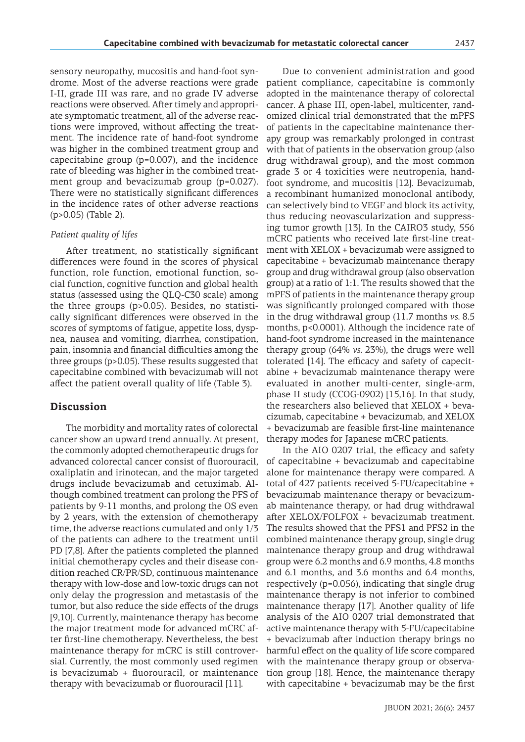sensory neuropathy, mucositis and hand-foot syndrome. Most of the adverse reactions were grade I-II, grade III was rare, and no grade IV adverse reactions were observed. After timely and appropriate symptomatic treatment, all of the adverse reactions were improved, without affecting the treatment. The incidence rate of hand-foot syndrome was higher in the combined treatment group and capecitabine group (p=0.007), and the incidence rate of bleeding was higher in the combined treatment group and bevacizumab group (p=0.027). There were no statistically significant differences in the incidence rates of other adverse reactions (p>0.05) (Table 2).

#### *Patient quality of lifes*

After treatment, no statistically significant differences were found in the scores of physical function, role function, emotional function, social function, cognitive function and global health status (assessed using the QLQ-C30 scale) among the three groups (p>0.05). Besides, no statistically significant differences were observed in the scores of symptoms of fatigue, appetite loss, dyspnea, nausea and vomiting, diarrhea, constipation, pain, insomnia and financial difficulties among the three groups (p>0.05). These results suggested that capecitabine combined with bevacizumab will not affect the patient overall quality of life (Table 3).

## **Discussion**

The morbidity and mortality rates of colorectal cancer show an upward trend annually. At present, the commonly adopted chemotherapeutic drugs for advanced colorectal cancer consist of fluorouracil, oxaliplatin and irinotecan, and the major targeted drugs include bevacizumab and cetuximab. Although combined treatment can prolong the PFS of patients by 9-11 months, and prolong the OS even by 2 years, with the extension of chemotherapy time, the adverse reactions cumulated and only 1/3 of the patients can adhere to the treatment until PD [7,8]. After the patients completed the planned initial chemotherapy cycles and their disease condition reached CR/PR/SD, continuous maintenance therapy with low-dose and low-toxic drugs can not only delay the progression and metastasis of the tumor, but also reduce the side effects of the drugs [9,10]. Currently, maintenance therapy has become the major treatment mode for advanced mCRC after first-line chemotherapy. Nevertheless, the best maintenance therapy for mCRC is still controversial. Currently, the most commonly used regimen is bevacizumab + fluorouracil, or maintenance therapy with bevacizumab or fluorouracil [11].

Due to convenient administration and good patient compliance, capecitabine is commonly adopted in the maintenance therapy of colorectal cancer. A phase III, open-label, multicenter, randomized clinical trial demonstrated that the mPFS of patients in the capecitabine maintenance therapy group was remarkably prolonged in contrast with that of patients in the observation group (also drug withdrawal group), and the most common grade 3 or 4 toxicities were neutropenia, handfoot syndrome, and mucositis [12]. Bevacizumab, a recombinant humanized monoclonal antibody, can selectively bind to VEGF and block its activity, thus reducing neovascularization and suppressing tumor growth [13]. In the CAIRO3 study, 556 mCRC patients who received late first-line treatment with XELOX + bevacizumab were assigned to capecitabine + bevacizumab maintenance therapy group and drug withdrawal group (also observation group) at a ratio of 1:1. The results showed that the mPFS of patients in the maintenance therapy group was significantly prolonged compared with those in the drug withdrawal group (11.7 months *vs.* 8.5 months, p<0.0001). Although the incidence rate of hand-foot syndrome increased in the maintenance therapy group (64% *vs.* 23%), the drugs were well tolerated [14]. The efficacy and safety of capecitabine + bevacizumab maintenance therapy were evaluated in another multi-center, single-arm, phase II study (CCOG-0902) [15,16]. In that study, the researchers also believed that XELOX + bevacizumab, capecitabine + bevacizumab, and XELOX + bevacizumab are feasible first-line maintenance therapy modes for Japanese mCRC patients.

In the AIO 0207 trial, the efficacy and safety of capecitabine + bevacizumab and capecitabine alone for maintenance therapy were compared. A total of 427 patients received 5-FU/capecitabine + bevacizumab maintenance therapy or bevacizumab maintenance therapy, or had drug withdrawal after XELOX/FOLFOX + bevacizumab treatment. The results showed that the PFS1 and PFS2 in the combined maintenance therapy group, single drug maintenance therapy group and drug withdrawal group were 6.2 months and 6.9 months, 4.8 months and 6.1 months, and 3.6 months and 6.4 months, respectively (p=0.056), indicating that single drug maintenance therapy is not inferior to combined maintenance therapy [17]. Another quality of life analysis of the AIO 0207 trial demonstrated that active maintenance therapy with 5-FU/capecitabine + bevacizumab after induction therapy brings no harmful effect on the quality of life score compared with the maintenance therapy group or observation group [18]. Hence, the maintenance therapy with capecitabine + bevacizumab may be the first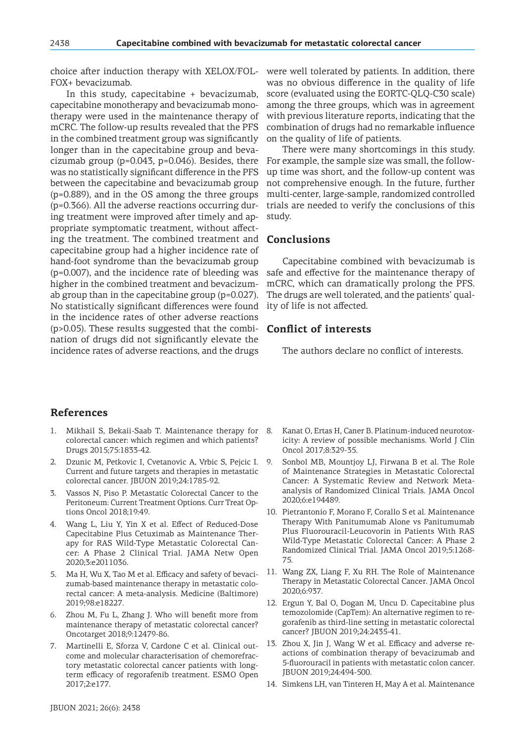choice after induction therapy with XELOX/FOL-FOX+ bevacizumab.

In this study, capecitabine + bevacizumab, capecitabine monotherapy and bevacizumab monotherapy were used in the maintenance therapy of mCRC. The follow-up results revealed that the PFS in the combined treatment group was significantly longer than in the capecitabine group and bevacizumab group (p=0.043, p=0.046). Besides, there was no statistically significant difference in the PFS between the capecitabine and bevacizumab group (p=0.889), and in the OS among the three groups (p=0.366). All the adverse reactions occurring during treatment were improved after timely and appropriate symptomatic treatment, without affecting the treatment. The combined treatment and capecitabine group had a higher incidence rate of hand-foot syndrome than the bevacizumab group (p=0.007), and the incidence rate of bleeding was higher in the combined treatment and bevacizumab group than in the capecitabine group (p=0.027). No statistically significant differences were found in the incidence rates of other adverse reactions (p>0.05). These results suggested that the combination of drugs did not significantly elevate the incidence rates of adverse reactions, and the drugs

were well tolerated by patients. In addition, there was no obvious difference in the quality of life score (evaluated using the EORTC-QLQ-C30 scale) among the three groups, which was in agreement with previous literature reports, indicating that the combination of drugs had no remarkable influence on the quality of life of patients.

There were many shortcomings in this study. For example, the sample size was small, the followup time was short, and the follow-up content was not comprehensive enough. In the future, further multi-center, large-sample, randomized controlled trials are needed to verify the conclusions of this study.

## **Conclusions**

Capecitabine combined with bevacizumab is safe and effective for the maintenance therapy of mCRC, which can dramatically prolong the PFS. The drugs are well tolerated, and the patients' quality of life is not affected.

## **Conflict of interests**

The authors declare no conflict of interests.

## **References**

- 1. Mikhail S, Bekaii-Saab T. Maintenance therapy for colorectal cancer: which regimen and which patients? Drugs 2015;75:1833-42.
- 2. Dzunic M, Petkovic I, Cvetanovic A, Vrbic S, Pejcic I. Current and future targets and therapies in metastatic colorectal cancer. JBUON 2019;24:1785-92.
- 3. Vassos N, Piso P. Metastatic Colorectal Cancer to the Peritoneum: Current Treatment Options. Curr Treat Options Oncol 2018;19:49.
- 4. Wang L, Liu Y, Yin X et al. Effect of Reduced-Dose Capecitabine Plus Cetuximab as Maintenance Therapy for RAS Wild-Type Metastatic Colorectal Cancer: A Phase 2 Clinical Trial. JAMA Netw Open 2020;3:e2011036.
- 5. Ma H, Wu X, Tao M et al. Efficacy and safety of bevacizumab-based maintenance therapy in metastatic colorectal cancer: A meta-analysis. Medicine (Baltimore) 2019;98:e18227.
- 6. Zhou M, Fu L, Zhang J. Who will benefit more from maintenance therapy of metastatic colorectal cancer? Oncotarget 2018;9:12479-86.
- 7. Martinelli E, Sforza V, Cardone C et al. Clinical outcome and molecular characterisation of chemorefractory metastatic colorectal cancer patients with longterm efficacy of regorafenib treatment. ESMO Open 2017;2:e177.
- Kanat O, Ertas H, Caner B. Platinum-induced neurotoxicity: A review of possible mechanisms. World J Clin Oncol 2017;8:329-35.
- Sonbol MB, Mountjoy LJ, Firwana B et al. The Role of Maintenance Strategies in Metastatic Colorectal Cancer: A Systematic Review and Network Metaanalysis of Randomized Clinical Trials. JAMA Oncol 2020;6:e194489.
- 10. Pietrantonio F, Morano F, Corallo S et al. Maintenance Therapy With Panitumumab Alone vs Panitumumab Plus Fluorouracil-Leucovorin in Patients With RAS Wild-Type Metastatic Colorectal Cancer: A Phase 2 Randomized Clinical Trial. JAMA Oncol 2019;5:1268- 75.
- 11. Wang ZX, Liang F, Xu RH. The Role of Maintenance Therapy in Metastatic Colorectal Cancer. JAMA Oncol 2020;6:937.
- 12. Ergun Y, Bal O, Dogan M, Uncu D. Capecitabine plus temozolomide (CapTem): An alternative regimen to regorafenib as third-line setting in metastatic colorectal cancer? JBUON 2019;24:2435-41.
- 13. Zhou X, Jin J, Wang W et al. Efficacy and adverse reactions of combination therapy of bevacizumab and 5-fluorouracil in patients with metastatic colon cancer. JBUON 2019;24:494-500.
- 14. Simkens LH, van Tinteren H, May A et al. Maintenance